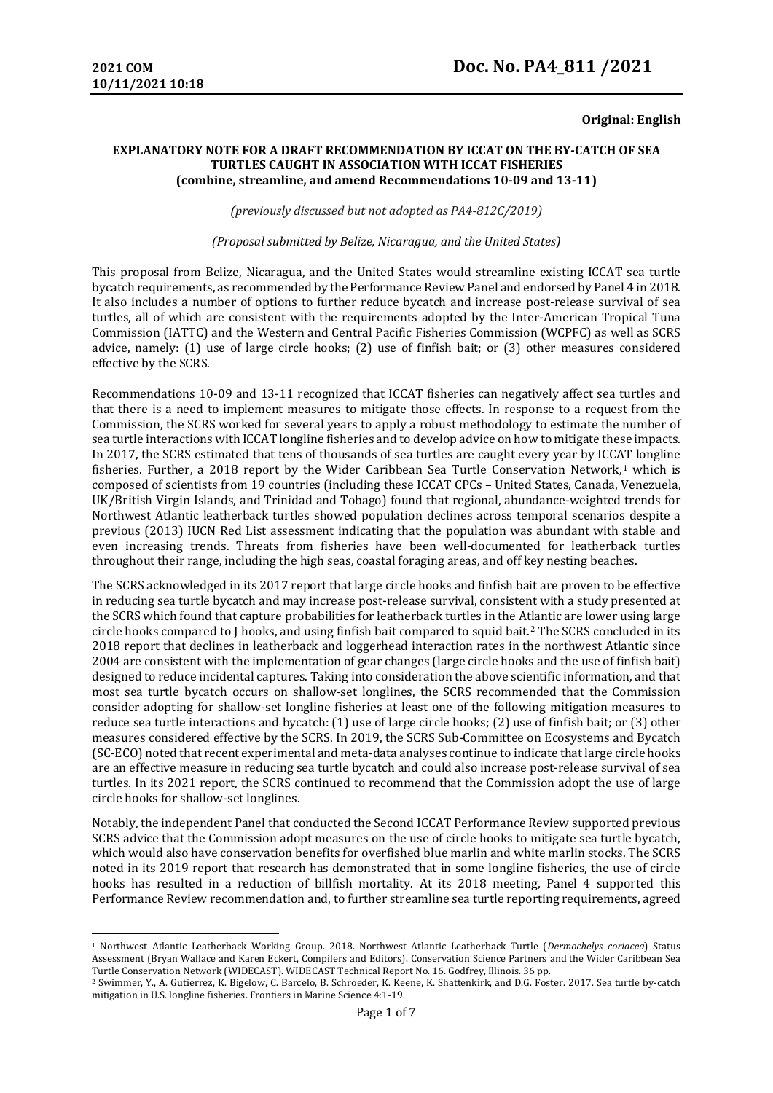### **Original: English**

#### **EXPLANATORY NOTE FOR A DRAFT RECOMMENDATION BY ICCAT ON THE BY-CATCH OF SEA TURTLES CAUGHT IN ASSOCIATION WITH ICCAT FISHERIES (combine, streamline, and amend Recommendations 10-09 and 13-11)**

*(previously discussed but not adopted as PA4-812C/2019)* 

*(Proposal submitted by Belize, Nicaragua, and the United States)*

This proposal from Belize, Nicaragua, and the United States would streamline existing ICCAT sea turtle bycatch requirements, as recommended by the Performance Review Panel and endorsed by Panel 4 in 2018. It also includes a number of options to further reduce bycatch and increase post-release survival of sea turtles, all of which are consistent with the requirements adopted by the Inter-American Tropical Tuna Commission (IATTC) and the Western and Central Pacific Fisheries Commission (WCPFC) as well as SCRS advice, namely: (1) use of large circle hooks; (2) use of finfish bait; or (3) other measures considered effective by the SCRS.

Recommendations 10-09 and 13-11 recognized that ICCAT fisheries can negatively affect sea turtles and that there is a need to implement measures to mitigate those effects. In response to a request from the Commission, the SCRS worked for several years to apply a robust methodology to estimate the number of sea turtle interactions with ICCAT longline fisheries and to develop advice on how to mitigate these impacts. In 2017, the SCRS estimated that tens of thousands of sea turtles are caught every year by ICC[AT](#page-0-0) longline fisheries. Further, a 2018 report by the Wider Caribbean Sea Turtle Conservation Network,<sup>1</sup> which is composed of scientists from 19 countries (including these ICCAT CPCs – United States, Canada, Venezuela, UK/British Virgin Islands, and Trinidad and Tobago) found that regional, abundance-weighted trends for Northwest Atlantic leatherback turtles showed population declines across temporal scenarios despite a previous (2013) IUCN Red List assessment indicating that the population was abundant with stable and even increasing trends. Threats from fisheries have been well-documented for leatherback turtles throughout their range, including the high seas, coastal foraging areas, and off key nesting beaches.

The SCRS acknowledged in its 2017 report that large circle hooks and finfish bait are proven to be effective in reducing sea turtle bycatch and may increase post-release survival, consistent with a study presented at the SCRS which found that capture probabilities for leatherback turtles in the Atlantic are lower using large circle hooks compared to J hooks, and using finfish bait compared to squid bait.[2](#page-0-1) The SCRS concluded in its 2018 report that declines in leatherback and loggerhead interaction rates in the northwest Atlantic since 2004 are consistent with the implementation of gear changes (large circle hooks and the use of finfish bait) designed to reduce incidental captures. Taking into consideration the above scientific information, and that most sea turtle bycatch occurs on shallow-set longlines, the SCRS recommended that the Commission consider adopting for shallow-set longline fisheries at least one of the following mitigation measures to reduce sea turtle interactions and bycatch: (1) use of large circle hooks; (2) use of finfish bait; or (3) other measures considered effective by the SCRS. In 2019, the SCRS Sub-Committee on Ecosystems and Bycatch (SC-ECO) noted that recent experimental and meta-data analyses continue to indicate that large circle hooks are an effective measure in reducing sea turtle bycatch and could also increase post-release survival of sea turtles. In its 2021 report, the SCRS continued to recommend that the Commission adopt the use of large circle hooks for shallow-set longlines.

Notably, the independent Panel that conducted the Second ICCAT Performance Review supported previous SCRS advice that the Commission adopt measures on the use of circle hooks to mitigate sea turtle bycatch, which would also have conservation benefits for overfished blue marlin and white marlin stocks. The SCRS noted in its 2019 report that research has demonstrated that in some longline fisheries, the use of circle hooks has resulted in a reduction of billfish mortality. At its 2018 meeting, Panel 4 supported this Performance Review recommendation and, to further streamline sea turtle reporting requirements, agreed

<span id="page-0-0"></span><sup>1</sup> Northwest Atlantic Leatherback Working Group. 2018. Northwest Atlantic Leatherback Turtle (*Dermochelys coriacea*) Status Assessment (Bryan Wallace and Karen Eckert, Compilers and Editors). Conservation Science Partners and the Wider Caribbean Sea

<span id="page-0-1"></span><sup>&</sup>lt;sup>2</sup> Swimmer, Y., A. Gutierrez, K. Bigelow, C. Barcelo, B. Schroeder, K. Keene, K. Shattenkirk, and D.G. Foster. 2017. Sea turtle by-catch mitigation in U.S. longline fisheries. Frontiers in Marine Science 4:1-19.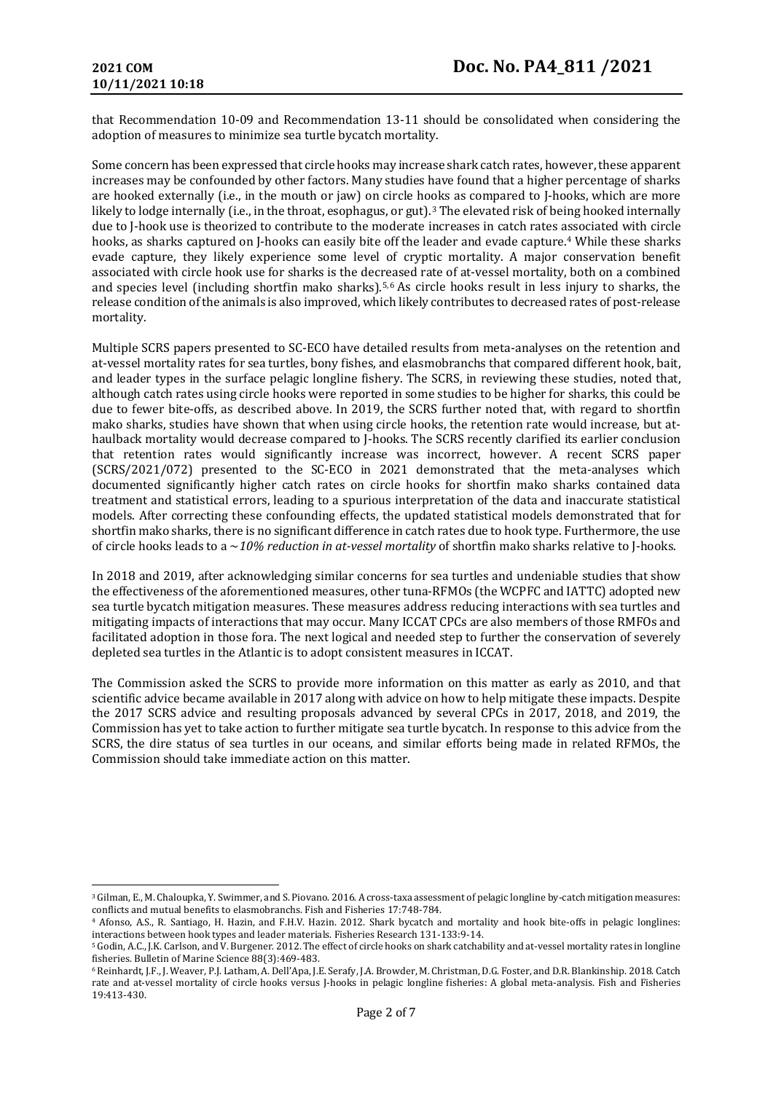that Recommendation 10-09 and Recommendation 13-11 should be consolidated when considering the adoption of measures to minimize sea turtle bycatch mortality.

Some concern has been expressed that circle hooks may increase shark catch rates, however, these apparent increases may be confounded by other factors. Many studies have found that a higher percentage of sharks are hooked externally (i.e., in the mouth or jaw) on circle ho[o](#page-1-0)ks as compared to J-hooks, which are more likely to lodge internally (i.e., in the throat, esophagus, or gut).3 The elevated risk of being hooked internally due to J-hook use is theorized to contribute to the moderate increases in catch rates [as](#page-1-1)sociated with circle hooks, as sharks captured on J-hooks can easily bite off the leader and evade capture.4 While these sharks evade capture, they likely experience some level of cryptic mortality. A major conservation benefit associated with circle hook use for sharks is the decreased rate of at-vessel mortality, both on a combined and species level (including shortfin mako sharks).<sup>[5](#page-1-2),[6](#page-1-3)</sup> As circle hooks result in less injury to sharks, the release condition of the animals is also improved, which likely contributes to decreased rates of post-release mortality.

Multiple SCRS papers presented to SC-ECO have detailed results from meta-analyses on the retention and at-vessel mortality rates for sea turtles, bony fishes, and elasmobranchs that compared different hook, bait, and leader types in the surface pelagic longline fishery. The SCRS, in reviewing these studies, noted that, although catch rates using circle hooks were reported in some studies to be higher for sharks, this could be due to fewer bite-offs, as described above. In 2019, the SCRS further noted that, with regard to shortfin mako sharks, studies have shown that when using circle hooks, the retention rate would increase, but athaulback mortality would decrease compared to J-hooks. The SCRS recently clarified its earlier conclusion that retention rates would significantly increase was incorrect, however. A recent SCRS paper (SCRS/2021/072) presented to the SC-ECO in 2021 demonstrated that the meta-analyses which documented significantly higher catch rates on circle hooks for shortfin mako sharks contained data treatment and statistical errors, leading to a spurious interpretation of the data and inaccurate statistical models. After correcting these confounding effects, the updated statistical models demonstrated that for shortfin mako sharks, there is no significant difference in catch rates due to hook type. Furthermore, the use of circle hooks leads to a ~*10% reduction in at-vessel mortality* of shortfin mako sharks relative to J-hooks.

In 2018 and 2019, after acknowledging similar concerns for sea turtles and undeniable studies that show the effectiveness of the aforementioned measures, other tuna-RFMOs (the WCPFC and IATTC) adopted new sea turtle bycatch mitigation measures. These measures address reducing interactions with sea turtles and mitigating impacts of interactions that may occur. Many ICCAT CPCs are also members of those RMFOs and facilitated adoption in those fora. The next logical and needed step to further the conservation of severely depleted sea turtles in the Atlantic is to adopt consistent measures in ICCAT.

The Commission asked the SCRS to provide more information on this matter as early as 2010, and that scientific advice became available in 2017 along with advice on how to help mitigate these impacts. Despite the 2017 SCRS advice and resulting proposals advanced by several CPCs in 2017, 2018, and 2019, the Commission has yet to take action to further mitigate sea turtle bycatch. In response to this advice from the SCRS, the dire status of sea turtles in our oceans, and similar efforts being made in related RFMOs, the Commission should take immediate action on this matter.

<span id="page-1-0"></span><sup>&</sup>lt;sup>3</sup> Gilman, E., M. Chaloupka, Y. Swimmer, and S. Piovano. 2016. A cross-taxa assessment of pelagic longline by-catch mitigation measures: conflicts and mutual benefits to elasmobranchs. Fish and Fisheries 17:748-784.

<span id="page-1-1"></span><sup>&</sup>lt;sup>4</sup> Afonso, A.S., R. Santiago, H. Hazin, and F.H.V. Hazin. 2012. Shark bycatch and mortality and hook bite-offs in pelagic longlines: interactions between hook types and leader materials. Fisheries Research 131-133:9-14.

<span id="page-1-2"></span><sup>&</sup>lt;sup>5</sup> Godin, A.C., J.K. Carlson, and V. Burgener. 2012. The effect of circle hooks on shark catchability and at-vessel mortality rates in longline fisheries. Bulletin of Marine Science 88(3):469-483.

<span id="page-1-3"></span><sup>&</sup>lt;sup>6</sup> Reinhardt, J.F., J. Weaver, P.J. Latham, A. Dell'Apa, J.E. Serafy, J.A. Browder, M. Christman, D.G. Foster, and D.R. Blankinship. 2018. Catch rate and at-vessel mortality of circle hooks versus J-hooks in pelagic longline fisheries: A global meta-analysis. Fish and Fisheries 19:413-430.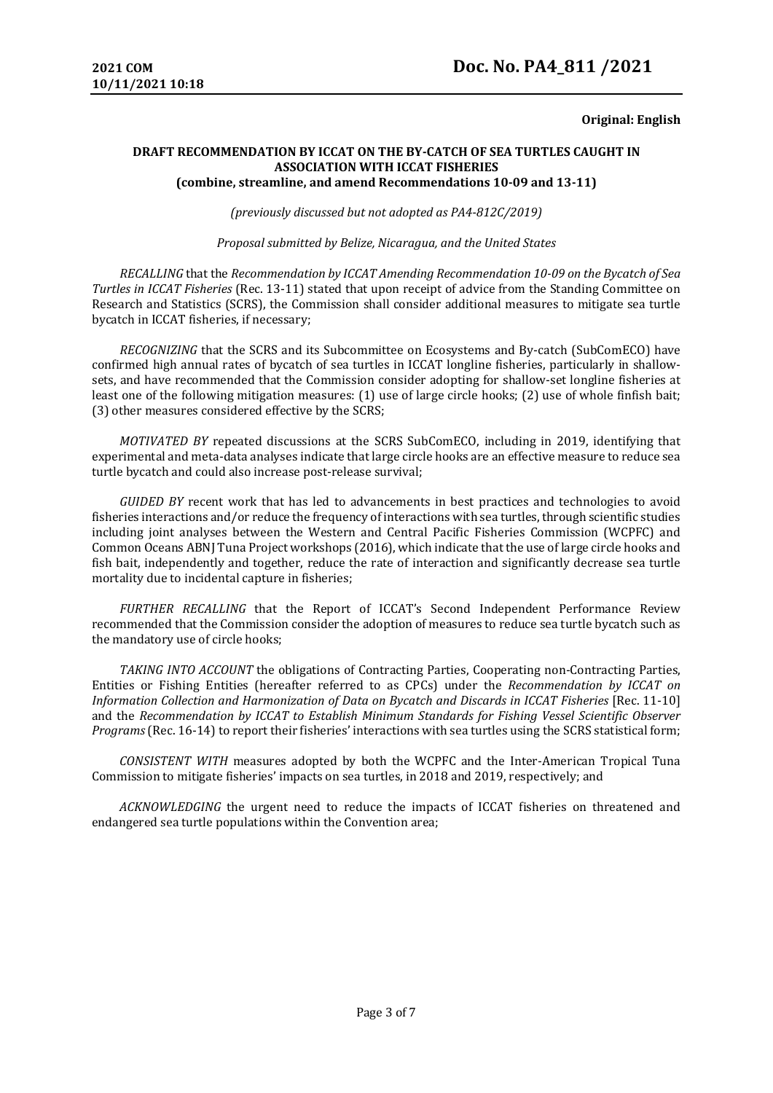## **Original: English**

## **DRAFT RECOMMENDATION BY ICCAT ON THE BY-CATCH OF SEA TURTLES CAUGHT IN ASSOCIATION WITH ICCAT FISHERIES (combine, streamline, and amend Recommendations 10-09 and 13-11)**

*(previously discussed but not adopted as PA4-812C/2019)* 

*Proposal submitted by Belize, Nicaragua, and the United States*

*RECALLING* that the *Recommendation by ICCAT Amending Recommendation 10-09 on the Bycatch of Sea Turtles in ICCAT Fisheries* (Rec. 13-11) stated that upon receipt of advice from the Standing Committee on Research and Statistics (SCRS), the Commission shall consider additional measures to mitigate sea turtle bycatch in ICCAT fisheries, if necessary;

*RECOGNIZING* that the SCRS and its Subcommittee on Ecosystems and By-catch (SubComECO) have confirmed high annual rates of bycatch of sea turtles in ICCAT longline fisheries, particularly in shallowsets, and have recommended that the Commission consider adopting for shallow-set longline fisheries at least one of the following mitigation measures: (1) use of large circle hooks; (2) use of whole finfish bait; (3) other measures considered effective by the SCRS;

*MOTIVATED BY* repeated discussions at the SCRS SubComECO, including in 2019, identifying that experimental and meta-data analyses indicate that large circle hooks are an effective measure to reduce sea turtle bycatch and could also increase post-release survival;

*GUIDED BY* recent work that has led to advancements in best practices and technologies to avoid fisheries interactions and/or reduce the frequency of interactions with sea turtles, through scientific studies including joint analyses between the Western and Central Pacific Fisheries Commission (WCPFC) and Common Oceans ABNJ Tuna Project workshops (2016), which indicate that the use of large circle hooks and fish bait, independently and together, reduce the rate of interaction and significantly decrease sea turtle mortality due to incidental capture in fisheries;

*FURTHER RECALLING* that the Report of ICCAT's Second Independent Performance Review recommended that the Commission consider the adoption of measures to reduce sea turtle bycatch such as the mandatory use of circle hooks;

*TAKING INTO ACCOUNT* the obligations of Contracting Parties, Cooperating non-Contracting Parties, Entities or Fishing Entities (hereafter referred to as CPCs) under the *Recommendation by ICCAT on Information Collection and Harmonization of Data on Bycatch and Discards in ICCAT Fisheries* [Rec. 11-10] and the *Recommendation by ICCAT to Establish Minimum Standards for Fishing Vessel Scientific Observer Programs* (Rec. 16-14) to report their fisheries' interactions with sea turtles using the SCRS statistical form;

*CONSISTENT WITH* measures adopted by both the WCPFC and the Inter-American Tropical Tuna Commission to mitigate fisheries' impacts on sea turtles, in 2018 and 2019, respectively; and

*ACKNOWLEDGING* the urgent need to reduce the impacts of ICCAT fisheries on threatened and endangered sea turtle populations within the Convention area;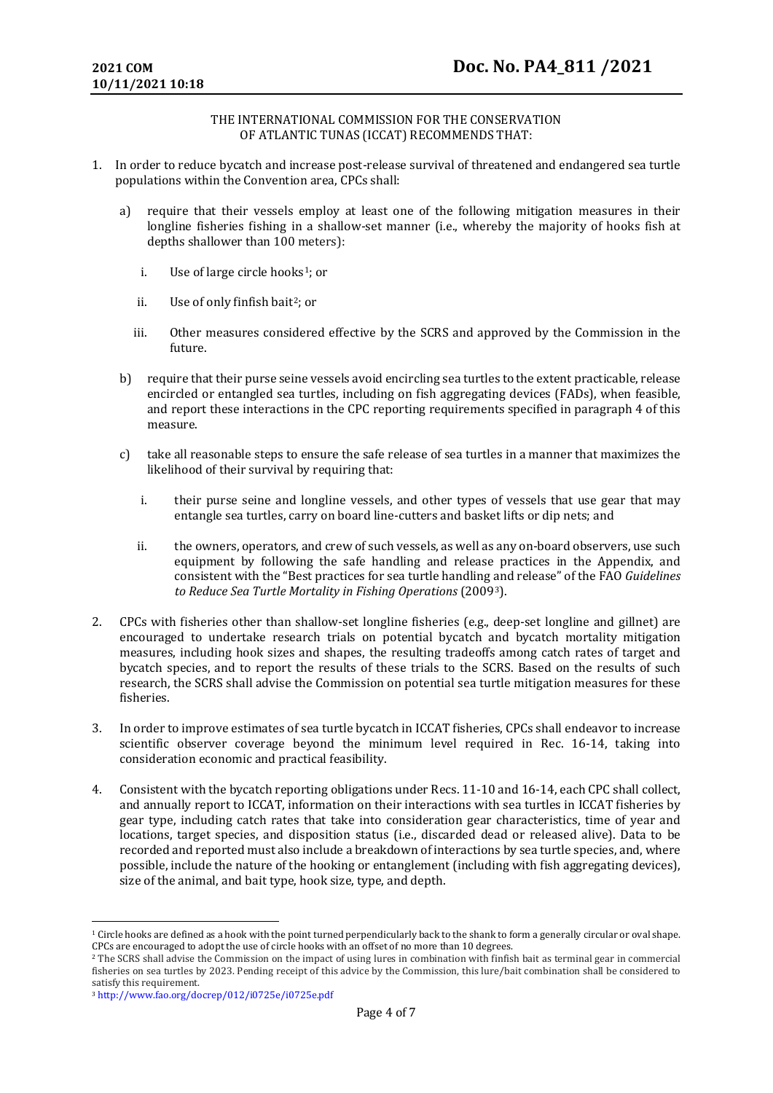## THE INTERNATIONAL COMMISSION FOR THE CONSERVATION OF ATLANTIC TUNAS (ICCAT) RECOMMENDS THAT:

- 1. In order to reduce bycatch and increase post-release survival of threatened and endangered sea turtle populations within the Convention area, CPCs shall:
	- a) require that their vessels employ at least one of the following mitigation measures in their longline fisheries fishing in a shallow-set manner (i.e., whereby the majority of hooks fish at depths shallower than 100 meters):
		- i. Use of large circle hooks<sup>[1](#page-3-0)</sup>; or
		- ii. Use of only finfish bait<sup>2</sup>; or
		- iii. Other measures considered effective by the SCRS and approved by the Commission in the future.
	- b) require that their purse seine vessels avoid encircling sea turtles to the extent practicable, release encircled or entangled sea turtles, including on fish aggregating devices (FADs), when feasible, and report these interactions in the CPC reporting requirements specified in paragraph 4 of this measure.
	- c) take all reasonable steps to ensure the safe release of sea turtles in a manner that maximizes the likelihood of their survival by requiring that:
		- i. their purse seine and longline vessels, and other types of vessels that use gear that may entangle sea turtles, carry on board line-cutters and basket lifts or dip nets; and
		- ii. the owners, operators, and crew of such vessels, as well as any on-board observers, use such equipment by following the safe handling and release practices in the Appendix, and consistent with the "Best practices for sea turtle handling and release" of the FAO *Guidelines to Reduce Sea Turtle Mortality in Fishing Operations* (2009[3\)](#page-3-2).
- 2. CPCs with fisheries other than shallow-set longline fisheries (e.g., deep-set longline and gillnet) are encouraged to undertake research trials on potential bycatch and bycatch mortality mitigation measures, including hook sizes and shapes, the resulting tradeoffs among catch rates of target and bycatch species, and to report the results of these trials to the SCRS. Based on the results of such research, the SCRS shall advise the Commission on potential sea turtle mitigation measures for these fisheries.
- 3. In order to improve estimates of sea turtle bycatch in ICCAT fisheries, CPCs shall endeavor to increase scientific observer coverage beyond the minimum level required in Rec. 16-14, taking into consideration economic and practical feasibility.
- 4. Consistent with the bycatch reporting obligations under Recs. 11-10 and 16-14, each CPC shall collect, and annually report to ICCAT, information on their interactions with sea turtles in ICCAT fisheries by gear type, including catch rates that take into consideration gear characteristics, time of year and locations, target species, and disposition status (i.e., discarded dead or released alive). Data to be recorded and reported must also include a breakdown of interactions by sea turtle species, and, where possible, include the nature of the hooking or entanglement (including with fish aggregating devices), size of the animal, and bait type, hook size, type, and depth.

<span id="page-3-0"></span><sup>&</sup>lt;sup>1</sup> Circle hooks are defined as a hook with the point turned perpendicularly back to the shank to form a generally circular or oval shape. CPCs are encouraged to adopt the use of circle hooks with an offset of no more than 10 degrees.

<span id="page-3-1"></span><sup>2</sup> The SCRS shall advise the Commission on the impact of using lures in combination with finfish bait as terminal gear in commercial fisheries on sea turtles by 2023. Pending receipt of this advice by the Commission, this lure/bait combination shall be considered to satisfy this requirement.

<span id="page-3-2"></span><sup>3</sup> http://www.fao.org/docrep/012/i0725e/i0725e.pdf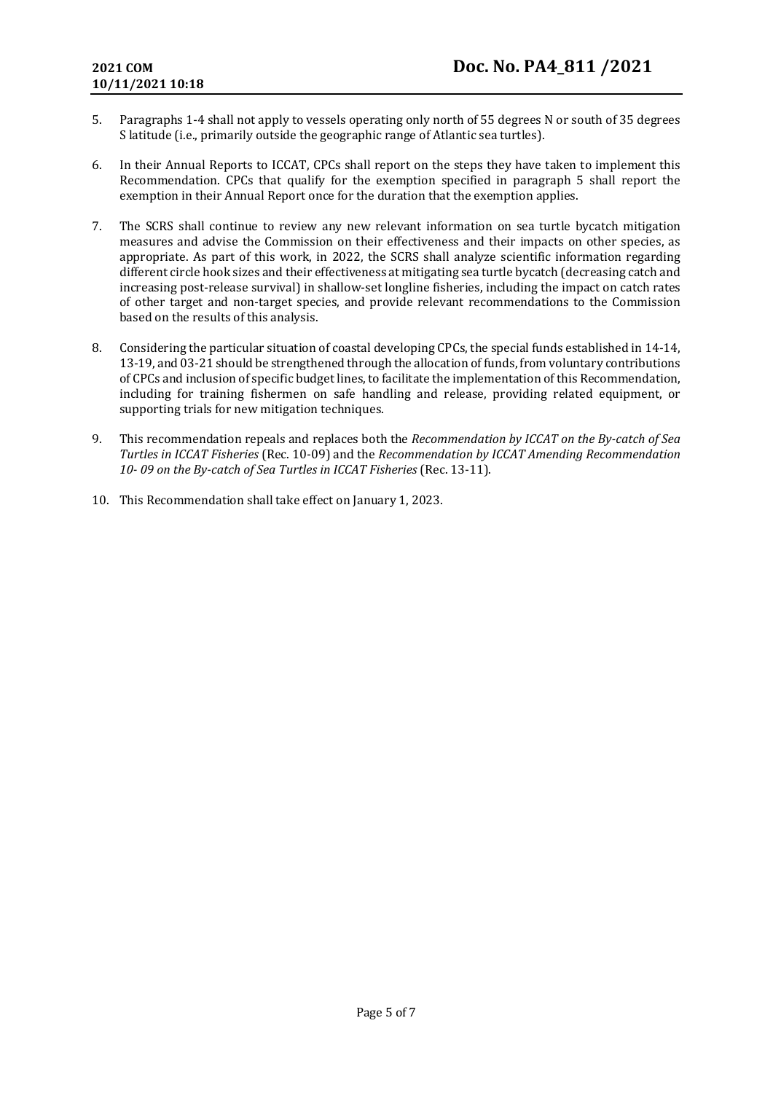- 5. Paragraphs 1-4 shall not apply to vessels operating only north of 55 degrees N or south of 35 degrees S latitude (i.e., primarily outside the geographic range of Atlantic sea turtles).
- 6. In their Annual Reports to ICCAT, CPCs shall report on the steps they have taken to implement this Recommendation. CPCs that qualify for the exemption specified in paragraph 5 shall report the exemption in their Annual Report once for the duration that the exemption applies.
- 7. The SCRS shall continue to review any new relevant information on sea turtle bycatch mitigation measures and advise the Commission on their effectiveness and their impacts on other species, as appropriate. As part of this work, in 2022, the SCRS shall analyze scientific information regarding different circle hook sizes and their effectiveness at mitigating sea turtle bycatch (decreasing catch and increasing post-release survival) in shallow-set longline fisheries, including the impact on catch rates of other target and non-target species, and provide relevant recommendations to the Commission based on the results of this analysis.
- 8. Considering the particular situation of coastal developing CPCs, the special funds established in 14-14, 13-19, and 03-21 should be strengthened through the allocation of funds, from voluntary contributions of CPCs and inclusion of specific budget lines, to facilitate the implementation of this Recommendation, including for training fishermen on safe handling and release, providing related equipment, or supporting trials for new mitigation techniques.
- 9. This recommendation repeals and replaces both the *Recommendation by ICCAT on the By-catch of Sea Turtles in ICCAT Fisheries* (Rec. 10-09) and the *Recommendation by ICCAT Amending Recommendation 10- 09 on the By-catch of Sea Turtles in ICCAT Fisheries* (Rec. 13-11).
- 10. This Recommendation shall take effect on January 1, 2023.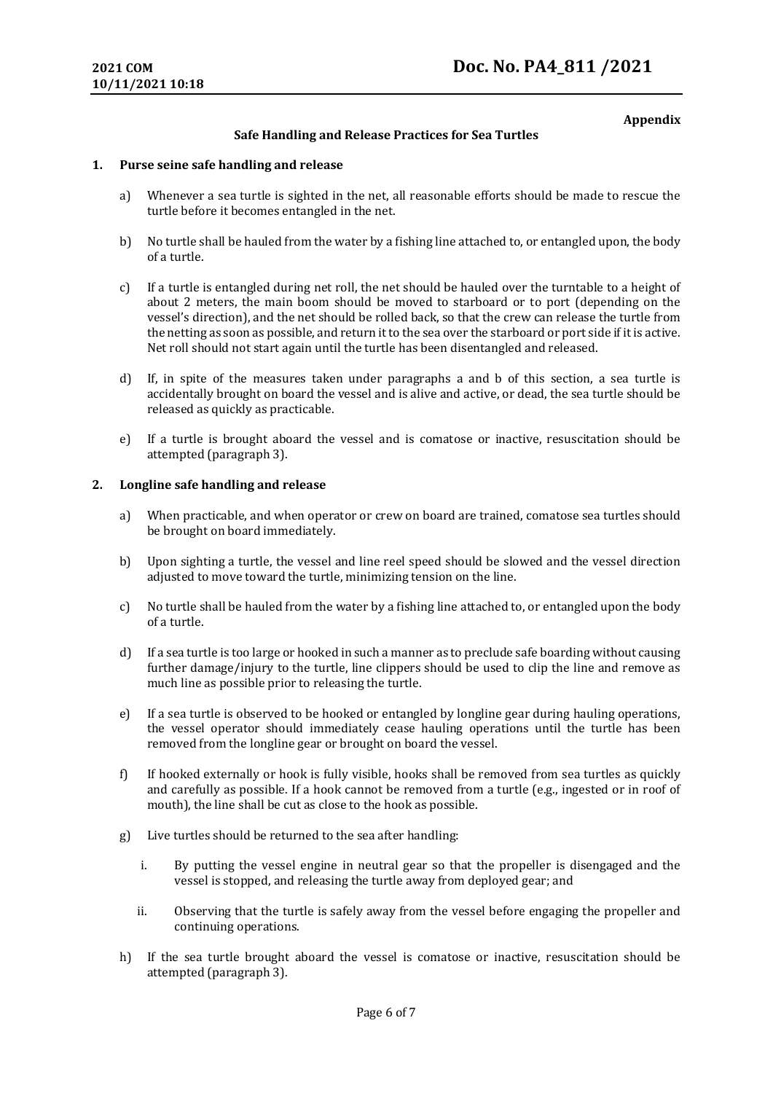# **Appendix**

# **Safe Handling and Release Practices for Sea Turtles**

### **1. Purse seine safe handling and release**

- a) Whenever a sea turtle is sighted in the net, all reasonable efforts should be made to rescue the turtle before it becomes entangled in the net.
- b) No turtle shall be hauled from the water by a fishing line attached to, or entangled upon, the body of a turtle.
- c) If a turtle is entangled during net roll, the net should be hauled over the turntable to a height of about 2 meters, the main boom should be moved to starboard or to port (depending on the vessel's direction), and the net should be rolled back, so that the crew can release the turtle from the netting as soon as possible, and return it to the sea over the starboard or port side if it is active. Net roll should not start again until the turtle has been disentangled and released.
- d) If, in spite of the measures taken under paragraphs a and b of this section, a sea turtle is accidentally brought on board the vessel and is alive and active, or dead, the sea turtle should be released as quickly as practicable.
- e) If a turtle is brought aboard the vessel and is comatose or inactive, resuscitation should be attempted (paragraph 3).

## **2. Longline safe handling and release**

- a) When practicable, and when operator or crew on board are trained, comatose sea turtles should be brought on board immediately.
- b) Upon sighting a turtle, the vessel and line reel speed should be slowed and the vessel direction adjusted to move toward the turtle, minimizing tension on the line.
- c) No turtle shall be hauled from the water by a fishing line attached to, or entangled upon the body of a turtle.
- d) If a sea turtle is too large or hooked in such a manner as to preclude safe boarding without causing further damage/injury to the turtle, line clippers should be used to clip the line and remove as much line as possible prior to releasing the turtle.
- e) If a sea turtle is observed to be hooked or entangled by longline gear during hauling operations, the vessel operator should immediately cease hauling operations until the turtle has been removed from the longline gear or brought on board the vessel.
- f) If hooked externally or hook is fully visible, hooks shall be removed from sea turtles as quickly and carefully as possible. If a hook cannot be removed from a turtle (e.g., ingested or in roof of mouth), the line shall be cut as close to the hook as possible.
- g) Live turtles should be returned to the sea after handling:
	- i. By putting the vessel engine in neutral gear so that the propeller is disengaged and the vessel is stopped, and releasing the turtle away from deployed gear; and
	- ii. Observing that the turtle is safely away from the vessel before engaging the propeller and continuing operations.
- h) If the sea turtle brought aboard the vessel is comatose or inactive, resuscitation should be attempted (paragraph 3).